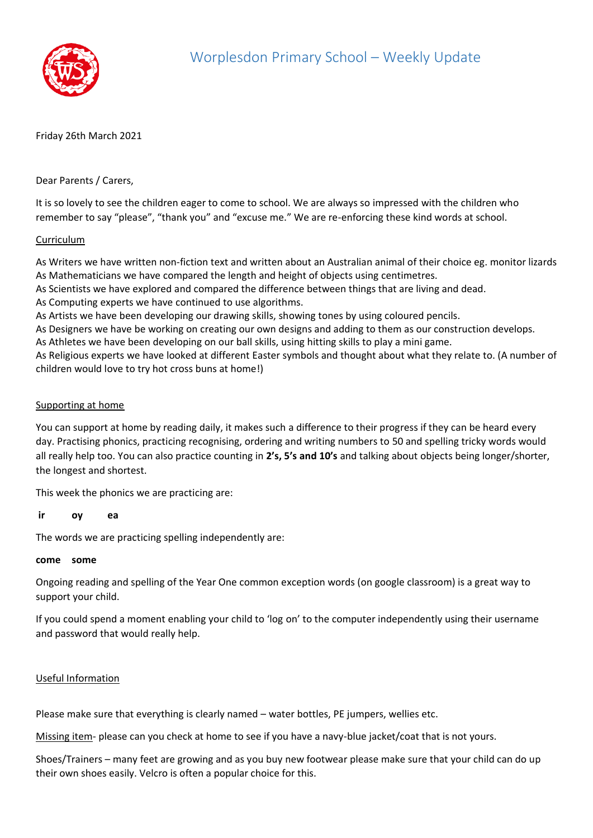

## Friday 26th March 2021

Dear Parents / Carers,

It is so lovely to see the children eager to come to school. We are always so impressed with the children who remember to say "please", "thank you" and "excuse me." We are re-enforcing these kind words at school.

## Curriculum

As Writers we have written non-fiction text and written about an Australian animal of their choice eg. monitor lizards As Mathematicians we have compared the length and height of objects using centimetres.

As Scientists we have explored and compared the difference between things that are living and dead.

As Computing experts we have continued to use algorithms.

As Artists we have been developing our drawing skills, showing tones by using coloured pencils.

As Designers we have be working on creating our own designs and adding to them as our construction develops.

As Athletes we have been developing on our ball skills, using hitting skills to play a mini game.

As Religious experts we have looked at different Easter symbols and thought about what they relate to. (A number of children would love to try hot cross buns at home!)

## Supporting at home

You can support at home by reading daily, it makes such a difference to their progress if they can be heard every day. Practising phonics, practicing recognising, ordering and writing numbers to 50 and spelling tricky words would all really help too. You can also practice counting in **2's, 5's and 10's** and talking about objects being longer/shorter, the longest and shortest.

This week the phonics we are practicing are:

#### **ir oy ea**

The words we are practicing spelling independently are:

#### **come some**

Ongoing reading and spelling of the Year One common exception words (on google classroom) is a great way to support your child.

If you could spend a moment enabling your child to 'log on' to the computer independently using their username and password that would really help.

# Useful Information

Please make sure that everything is clearly named – water bottles, PE jumpers, wellies etc.

Missing item- please can you check at home to see if you have a navy-blue jacket/coat that is not yours.

Shoes/Trainers – many feet are growing and as you buy new footwear please make sure that your child can do up their own shoes easily. Velcro is often a popular choice for this.